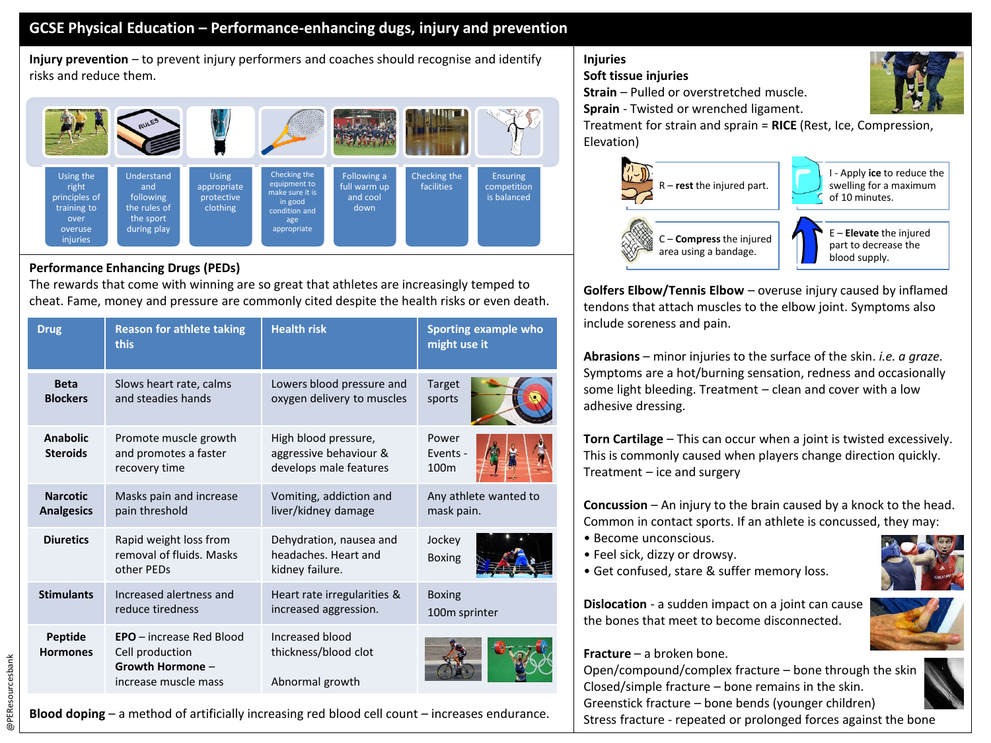## **GCSE Physical Education – Performance-enhancing dugs, injury and prevention**

**Injury prevention** – to prevent injury performers and coaches should recognise and identify risks and reduce them.



## **Performance Enhancing Drugs (PEDs)**

The rewards that come with winning are so great that athletes are increasingly temped to cheat. Fame, money and pressure are commonly cited despite the health risks or even death.

| <b>Drug</b>                          | <b>Reason for athlete taking</b><br>this                                                       | <b>Health risk</b>                                                       | Sporting example who<br>might use it  |
|--------------------------------------|------------------------------------------------------------------------------------------------|--------------------------------------------------------------------------|---------------------------------------|
| <b>Beta</b><br><b>Blockers</b>       | Slows heart rate, calms<br>and steadies hands                                                  | Lowers blood pressure and<br>oxygen delivery to muscles                  | <b>Target</b><br>sports               |
| Anabolic<br><b>Steroids</b>          | Promote muscle growth<br>and promotes a faster<br>recovery time                                | High blood pressure,<br>aggressive behaviour &<br>develops male features | Power<br>Events -<br>100 <sub>m</sub> |
| <b>Narcotic</b><br><b>Analgesics</b> | Masks pain and increase<br>pain threshold                                                      | Vomiting, addiction and<br>liver/kidney damage                           | Any athlete wanted to<br>mask pain.   |
| <b>Diuretics</b>                     | Rapid weight loss from<br>removal of fluids. Masks<br>other PEDs                               | Dehydration, nausea and<br>headaches. Heart and<br>kidney failure.       | Jockey<br><b>Boxing</b>               |
| <b>Stimulants</b>                    | Increased alertness and<br>reduce tiredness                                                    | Heart rate irregularities &<br>increased aggression.                     | <b>Boxing</b><br>100m sprinter        |
| Peptide<br><b>Hormones</b>           | <b>EPO</b> – increase Red Blood<br>Cell production<br>Growth Hormone -<br>increase muscle mass | Increased blood<br>thickness/blood clot<br>Abnormal growth               |                                       |

**Injuries**

## **Soft tissue injuries**

**Strain** – Pulled or overstretched muscle.

**Sprain** - Twisted or wrenched ligament.

Treatment for strain and sprain = **RICE** (Rest, Ice, Compression, Elevation)



**Golfers Elbow/Tennis Elbow** – overuse injury caused by inflamed tendons that attach muscles to the elbow joint. Symptoms also include soreness and pain.

**Abrasions** – minor injuries to the surface of the skin. *i.e. a graze.*  Symptoms are a hot/burning sensation, redness and occasionally some light bleeding. Treatment – clean and cover with a low adhesive dressing.

**Torn Cartilage** – This can occur when a joint is twisted excessively. This is commonly caused when players change direction quickly. Treatment – ice and surgery

**Concussion** – An injury to the brain caused by a knock to the head. Common in contact sports. If an athlete is concussed, they may:

- Become unconscious.
- Feel sick, dizzy or drowsy.
- Get confused, stare & suffer memory loss.

**Dislocation** - a sudden impact on a joint can cause the bones that meet to become disconnected.



## **Fracture** – a broken bone.

Open/compound/complex fracture – bone through the skin Closed/simple fracture – bone remains in the skin. Greenstick fracture – bone bends (younger children)

Stress fracture - repeated or prolonged forces against the bone



@PEResourcesbank @PEResourcesbank

**Blood doping** – a method of artificially increasing red blood cell count – increases endurance.